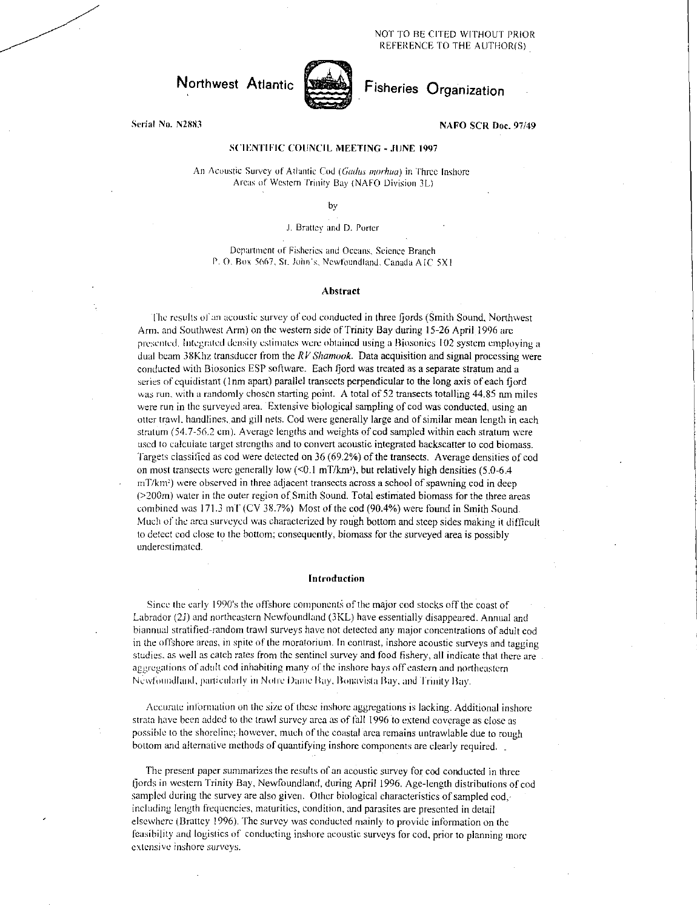NOT TO BE CITED WITHOUT PRIOR REFERENCE TO THE AUTHOR(S)



# Serial No. N2883 NAFO SCR Doc. 97/49

# SCIENTIFIC COUNCIL MEETING - JUNE 1997

An Acoustic Survey of Atlantic Cod (Gadus morhua) in Three Inshore Areas of Western Trinity Bay (NAFO Division 3L)

by

## J. Brattey and D. Porter

Department of Fisheries and Oceans, Science Branch P. O. Box 5667, St. John's, Newfoundland, Canada A IC 5X I

## Abstract

The results of an acoustic survey of cod conducted in three fjords (Smith Sound, Northwest Arm, and Southwest Arm) on the western side of Trinity Bay during 15-26 April 1996 are presented. Integrated density estimates were obtained using a 13iosonics 102 system employing a dual beam 38Khz transducer from the *RV Shamook.* Data acquisition and signal processing were conducted with Riosonics ESP software. Each fjord was treated as a separate stratum and a series of equidistant (1 nm apart) parallel transects perpendicular to the long axis of each fiord was run, with a randomly chosen starting point. A total of 52 transects totalling 44.85 nm miles were run in the surveyed area. Extensive biological sampling of cod was conducted, using an otter trawl, handlines, and gill nets. Cod were generally large and of similar mean length in each stratum (54.7-56.2 cm). Average lengths and weights of cod sampled within each stratum were used to calculate target strengths and to convert acoustic integrated backscatter to cod biomass. Targets classified as cod were detected on 36 (69.2%) of the transects. Average densities of cod on most transects were generally low  $(< 0.1$  mT/km<sup>2</sup>), but relatively high densities (5.0-6.4)  $m/\text{km}^2$  were observed in three adjacent transects across a school of spawning cod in deep (>200m) water in the outer region of. Smith Sound. Total estimated biomass for the three areas combined was 171.3 mT (CV 38.7%) Most of the cod (90.4%) were found in Smith Sound. Much of the area surveyed was characterized by rough bottom and steep sides making it difficult to detect cod close to the bottom; consequently, biomass for the surveyed area is possibly underestimated.

#### Introduction

Since the early 1990's the offshore components of the major cod stocks off the coast of Labrador (2J) and northeastern Newfoundland (3KL) have essentially disappeared. Annual and biannual stratified-random trawl surveys have not detected any major concentrations of adult cod in the offshore areas, in spite of the moratorium. In contrast, inshore acoustic surveys and tagging studies, as well as catch rates from the sentinel survey and food fishery, all indicate that there are aggregations of adult cod inhabiting many of the inshore hays off eastern and northeastern Newfoundfand, particularly in Notre Dame Bay, Bonavista Bay, and Trinity Bay.

Accurate inlbrmation on the size of these inshore aggregations is lacking. Additional inshore strata have been added to the trawl survey area as of fall 1996 to extend coverage as close as possible to the shoreline; however, much of the coastal area remains untrawlable due to rough bottom and alternative methods of quantifying inshore components are clearly required.

The present paper summarizes the results of an acoustic survey for cod conducted in three fiords in western Trinity Bay, Newfoundland, during April 1996. Age-length distributions of cod sampled during the survey are also given. Other biological characteristics of sampled cod, including length frequencies, maturities, condition, and parasites are presented in detail elsewhere (Brattey 1996). The survey was conducted mainly to provide information on the feasibility and logistics of conducting inshore acoustic surveys for cod, prior to planning more extensive inshore surveys.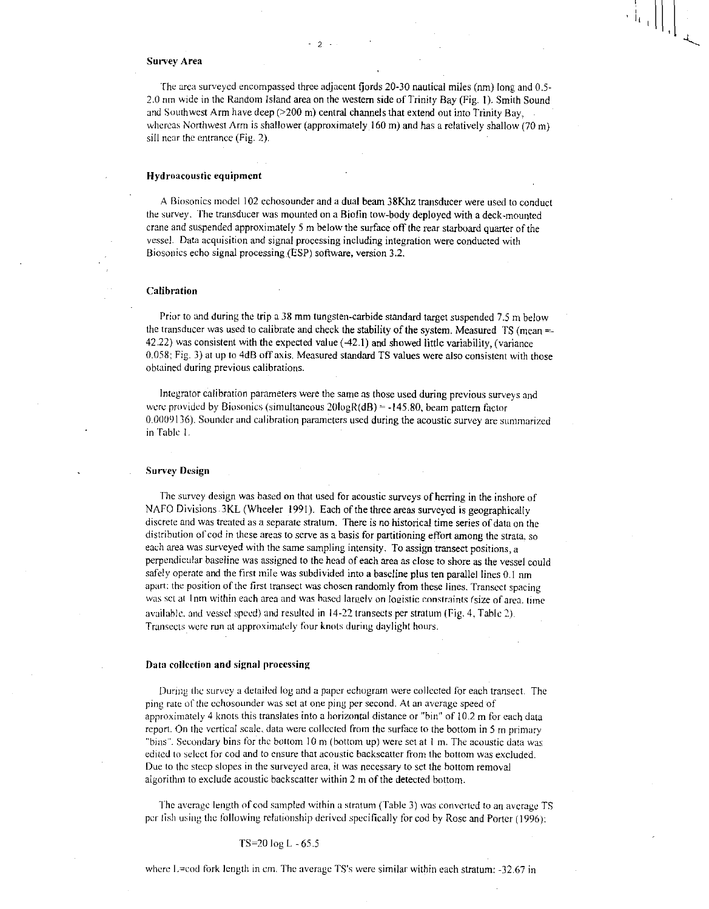#### Survey Area

The area surveyed encompassed three adjacent fjords 20-30 nautical miles (nm) long and 0.5- 2.0 nm wide in the Random Island area on the western side of Trinity Bay (Fig. I). Smith Sound and Southwest Arm have deep (>200 m) central channels that extend out into Trinity Bay, whereas Northwest Arm is shallower (approximately 160 m) and has a relatively shallow (70 m) sill near the entrance (Fig. 2).

2

## Hydroacoustic equipment

A Biosonics model 102 echosounder and a dual beam 38Khz transducer were used to conduct the survey. The transducer was mounted on a Biofin tow-body deployed with a deck-mounted crane and suspended approximately 5 m below the surface off the rear starboard quarter of the vessel. Data acquisition and signal processing including integration were conducted with Biosonics echo signal processing (ESP) software, version 3.2.

## Calibration

Prior to and during the trip a 38 mm tungsten-carbide standard target suspended 7.5 m below the transducer was used to calibrate and check the stability of the system. Measured TS (mean =- 42.22) was consistent with the expected value (42.1) and showed little variability, (variance 0.058; Fig. 3) at up to 4dB off axis. Measured standard TS values were also consistent with those obtained during previous calibrations.

Integrator calibration parameters were the same as those used during previous surveys and were provided by Biosonics (simultaneous  $20\log R(d) = -145.80$ , beam pattern factor 0.0009136). Sounder and calibration parameters used during the acoustic survey are summarized in Table I.

#### Survey Design

The survey design was based on that used for acoustic surveys of herring in the inshore of NAFO Divisions 3KL (Wheeler 1991). Each of the three areas surveyed is geographically discrete and was treated as a separate stratum. There is no historical time series of data on the distribution of cod in these areas to serve as a basis for partitioning effort among the strata, so each area was surveyed with the same sampling intensity. To assign transect positions, a perpendicular baseline was assigned to the head of each area as close to shore as the vessel could safely operate and the first mile was subdivided into a baseline plus ten parallel lines 0.1 nm apart: the position of the first transect was chosen randomly from these lines. Transect spacing was set at 1nm within each area and was based largely on loeistic constraints (size of area. time available. and vessel speed) and resulted in 14-22 transects per stratum (Fig. 4, Table 2). Transects were run at approximately four knots during daylight hours.

### Data collection and signal processing

During the survey a detailed log and a paper echogram were collected for each transect. The ping rate of the echosounder was set at one ping per second. At an average speed of approximately *4* knots this translates into a horizontal distance or "bin" of 10.2 m for each data report. On the vertical scale, data were collected from the surface to the bottom in 5 m primary "bins". Secondary bins for the bottom  $10 \text{ m}$  (bottom up) were set at 1 m. The acoustic data was edited to select for cod and to ensure that acoustic backscatter from the bottom was excluded. Due to the steep slopes in the surveyed area, it was necessary to set the bottom removal algorithm to exclude acoustic backscatter within 2 m of the detected bottom.

The average length of cod sampled within a stratum (Table 3) was converted to an average TS per fish using the following relationship derived specifically for cod by Rose and Porter (1996):

TS=20 log L - 65.5

where  $L = \text{cod}$  fork length in cm. The average TS's were similar within each stratum:  $-32.67$  in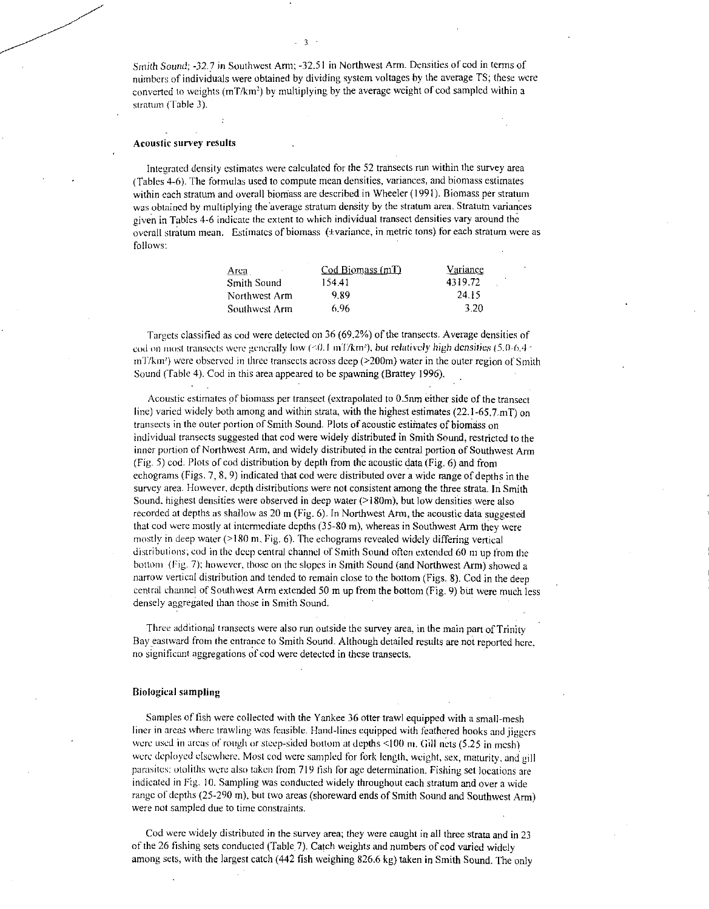Smith *Sound; -32.7* in Southwest Arm; -32.51 in Northwest Arm. Densities of cod in terms of numbers of individuals were obtained by dividing system voltages by the average TS; these were converted to weights (mT/km<sup>2</sup>) by multiplying by the average weight of cod sampled within a stratum (Table 3).

- 3

#### Acoustic survey results

Integrated density estimates were calculated for the 52 transects run within the survey area (Tables 4-6). The formulas used to compute mean densities, variances, and biomass estimates within each stratum and overall biomass are described in Wheeler (1991). Biomass per stratum was obtained by multiplying the average stratum density by the stratum area. Stratum variances given in Tables 4-6 indicate the extent to which individual transect densities vary around the overall stratum mean. Estimates of biomass (+variance, in metric tons) for each stratum were as follows:

| $\text{Cod}\xspace$ Biomass (mT) | Variance |
|----------------------------------|----------|
| 154.41                           | 4319.72  |
| 9.89                             | 24.15    |
| 6.96                             | 3.20     |
|                                  |          |

Targets classified as cod were detected on 36 (69.2%) of the transects. Average densities of cod 01) most transects were generally low (<0.1 inT/km<sup>2</sup> ), but *relatively high densities* (5.0-6.4  $mT/km^2$ ) were observed in three transects across deep ( $>200m$ ) water in the outer region of Smith Sound (Table 4). Cod in this area appeared to be spawning (Brattey 1996).

• Acoustic estimates of biomass per transect (extrapolated to 0.5am either side of the transect line) varied widely both among and within strata, with the highest estimates  $(22.1-65.7 \text{ mT})$  on transects in the outer portion of Smith Sound. Plots of acoustic estimates of biomass on individual transects suggested that cod were widely distributed in Smith Sound, restricted to the inner portion of Northwest Arm, and widely distributed in the central portion of Southwest Arm (Fig. 5) cod. Plots of cod distribution by depth from the acoustic data (Fig. 6) and from echograms (Figs. 7, 8, 9) indicated that cod were distributed over a wide range of depths in the survey area. However, depth distributions were not consistent among the three strata. In Smith Sound, highest densities were observed in deep water  $(>180<sub>m</sub>)$ , but low densities were also recorded at depths as shallow as 20 m (Fig. 6). In Northwest Arm, the acoustic data suggested that cod were mostly at intermediate depths (35-80 m), whereas in Southwest Arm they were mostly in deep water (>180 m, Fig. 6). The echograms revealed widely differing vertical distributions; cod in the deep central channel of Smith Sound often extended 60 ni up from the bottom (fig. 7); however, those on the slopes in Smith Sound (and Northwest Arm) showed a narrow vertical distribution and tended to remain close to the bottom (Figs. 8). Cod in the deep central channel of Southwest Arm extended 50 m up from the bottom (Fig. 9) but were much less densely aggregated than those in Smith Sound.

Three additional transects were also run outside the survey area, in the main part of Trinity Bay eastward from the entrance to Smith Sound. Although detailed results are not reported here, no significant aggregations of cod were detected in these transects.

#### Biological sampling

Samples of fish were collected with the Yankee 36 otter trawl equipped with a small-mesh liner in areas where trawling was feasible. Hand-lines equipped with feathered hooks and jiggers *were used in areas of rough or steep-sided bottom at depths* <100 m. Gill nets (5.25 in mesh) were deployed elsewhere. Most cod were sampled for fork length, weight, sex, maturity, and gill parasites: otoliths were also taken from 719 fish for age determination. Fishing set locations are indicated in Fig. 10. Sampling was conducted widely throughout each stratum and over a wide range of depths (25-290 m), but two areas (shoreward ends of Smith Sound and Southwest Arm) were not sampled due to time constraints.

Cod were widely distributed in the survey area; they were caught in all three strata and in 23 of the 26 fishing sets conducted (Table 7). Catch weights and numbers of cod varied widely among sets, with the largest catch (442 fish weighing 826.6 kg) taken in Smith Sound. The only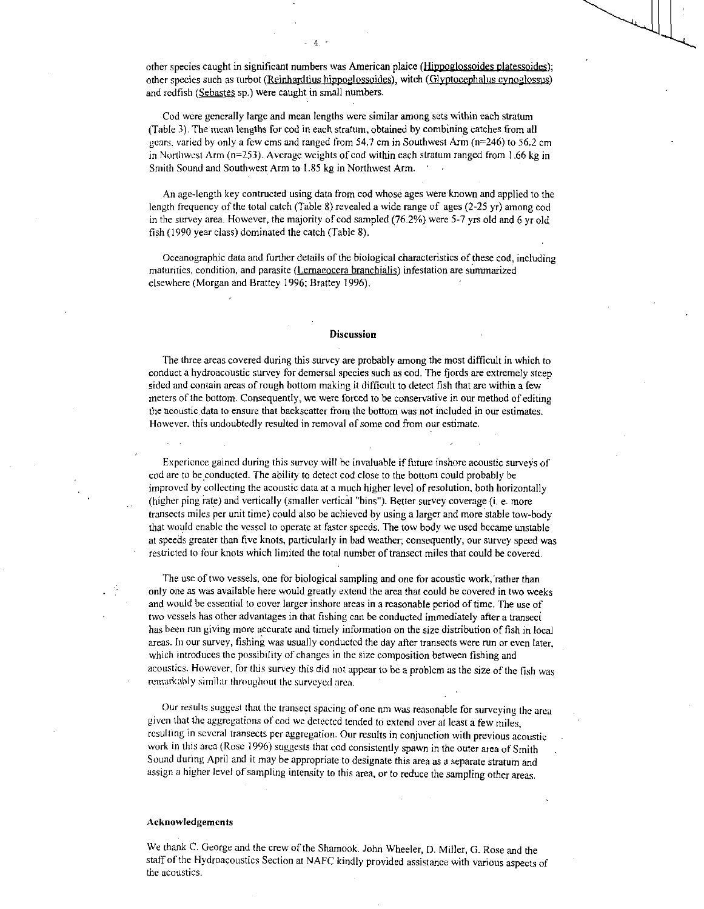other species caught in significant numbers was American plaice (Hippoplossoides platessoides); other species such as turbot (Reinhardtius hippoglossoides), witch (Glyptocephalus cynoglossus) and redfish (Sebastes sp.) were caught in small numbers.

 $-4$   $-$ 

Cod were generally large and mean lengths were similar among sets within each stratum (Table 3). The mean lengths for cod in each stratum, obtained by combining catches from all gears, varied by only a few cms and ranged from 54.7 cm in Southwest Arm ( $n=246$ ) to 56.2 cm in Northwest Arm (n=253). Average weights of cod within each stratum ranged from 1.66 kg in Smith Sound and Southwest Arm to 1.85 kg in Northwest Arm. '

An age-length key contructed using data from cod whose ages were known and applied to the length frequency of the total catch (Table 8) revealed a wide range of ages (2-25 yr) among cod in the survey area. However, the majority of cod sampled (76.2%) were 5-7 yrs old and 6 yr old fish (1990 year class) dominated the catch (Table 8).

Oceanographic data and further details of the biological characteristics of these cod, including maturities, condition, and parasite (Lernaeocera branchialis) infestation are summarized elsewhere (Morgan and Brattey 1996; Brattey 1996).

#### Discussion

The three areas covered during this survey are probably among the most difficult in which to conduct a hydroacoustic survey for demersal species such as cod. The fjords are extremely steep sided and contain areas of rough bottom making it difficult to detect fish that are within a few meters of the bottom. Consequently, we were forced to be conservative in our method of editing the acoustic data to ensure that backscatter from the bottom was not included in our estimates. However. this undoubtedly resulted in removal of some cod from our estimate.

Experience gained during this survey will he invaluable if future inshore acoustic surveys of cod are to be conducted. The ability to detect cod close to the bottom could probably be improved by collecting the acoustic data at a much higher level of resolution, both horizontally (higher ping rate) and vertically (smaller vertical "bins"). Better survey coverage (i. e. more transects miles per unit time) could also be achieved by using a larger and more stable tow-body that would enable the vessel to operate at faster speeds. The tow body we used became unstable at speeds greater than five knots, particularly in bad weather; consequently, our survey speed was restricted to four knots which limited the total number of transect miles that could be covered.

The use of two vessels, one for biological sampling and one for acoustic work, rather than only one as was available here would greatly extend the area that could be covered in two weeks and would be essential to cover larger inshore areas in a reasonable period of time. The use of two vessels has other advantages in that fishing can be conducted immediately after a transeci has been run giving more accurate and timely information on the size distribution of fish in local areas. In our survey, fishing was usually conducted the day after transects were run or even later, which introduces the possibility of changes in the size composition between fishing and acoustics. However, for this survey this did not appear to be a problem as the size of the fish was remarkably similar throughout the surveyed area.

Our results suggest that the transect spacing of one nm was reasonable for surveying the area given that the aggregations of cod we detected tended to extend over at least a few miles, resulting in several transects per aggregation. Our results in conjunction with previous acoustic work in this arca (Rose 1996) suggests that cod consistently spawn in the outer area of Smith Sound during April and it may be appropriate to designate this area as a separate stratum and assign a higher level of sampling intensity to this area, or to reduce the sampling other areas.

#### Acknowledgements

We thank C. George and the crew of the Shamook. John Wheeler, D. Miller, G. Rose and the staff of the Hydroacoustics Section at NAFC kindly provided assistance with various aspects of the acoustics.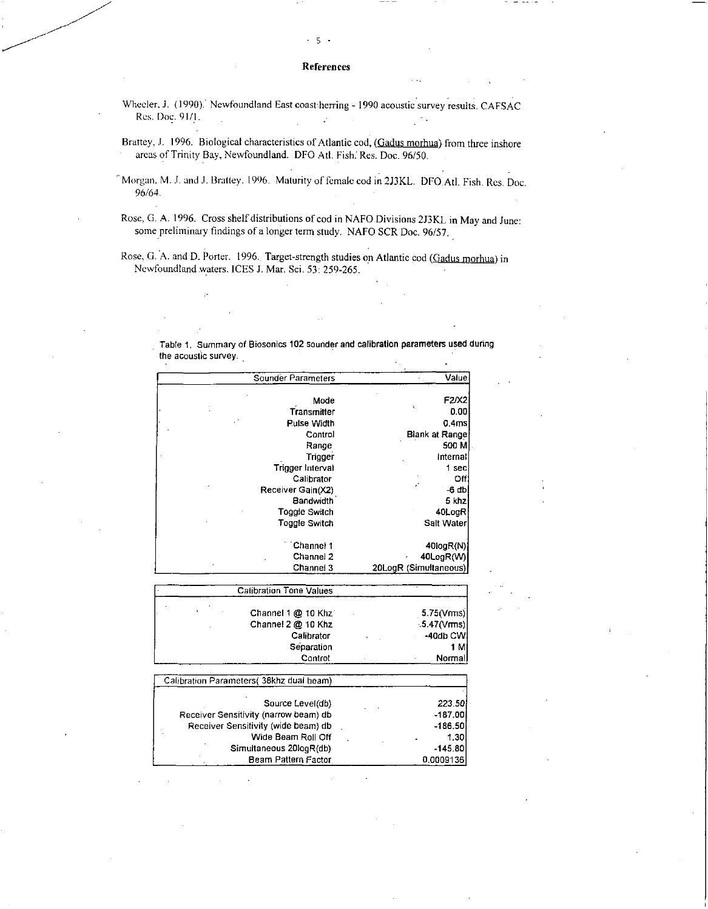### References

5 -

Wheeler, J. (1990). Newfoundland East coast herring - 1990 acoustic survey results. CAFSAC Res. Doc. 91/1.  $\mathbb{R}^2$ 

Brattey, J. 1996. Biological characteristics of Atlantic cod, (Gadus morhua) from three inshore areas of Trinity Bay, Newfoundland. DFO Atl. Fish: Res. Doc. 96/50.

"Morgan. M. J. and J. Brattey. 1996. Maturity of female cod in 213KL. DFO.Atl. Fish. Res. Doc. 96/64.

Rose, G. A. 1996. Cross shelf distributions of cod in NAFO Divisions 2J3KL in May and June: some preliminary findings of a longer term study. NAFO SCR Doc. 96/57.

Rose, G. A. and D. Porter. 1996. Target-strength studies on Atlantic cod (Gadus morhua) in Newfoundland waters. ICES J. Mar. Sci. 53: 259-265.

Table 1. Summary of Biosonics 102 sounder and calibration parameters used during

the acoustic survey.

| Value                 | Sounder Parameters |
|-----------------------|--------------------|
| F2/X2                 | Mode               |
| t,<br>0.00            | Transmitter        |
| 0.4ms                 | <b>Pulse Width</b> |
| Blank at Range        | Control            |
| 500 M                 | Range              |
| internal              | Trigger            |
| 1 sec.                | Trigger Interval   |
| Off                   | Calibrator         |
| $-6$ db               | Receiver Gain(X2)  |
| 5 khz                 | Bandwidth          |
| 40LogR                | Toggle Switch      |
| Salt Water            | Toggle Switch      |
| 40log(R(N))           | Channel 1          |
| 40LogR(W)             | Channel 2          |
| 20LogR (Simultaneous) | Channel 3          |

|  | <b>Calibration Tone Values</b> |             |
|--|--------------------------------|-------------|
|  | Channel 1 @ 10 Khz             | 5.75(Vrms)  |
|  | Channel 2 @ 10 Khz             | .5.47(Vrms) |
|  | Calibrator                     | $-40$ db CW |
|  | Separation                     | 1 MI        |
|  | Control                        | Normall     |

| Calibration Parameters (38khz dual beam) |           |
|------------------------------------------|-----------|
|                                          |           |
| Source Level(db)                         | 223.501   |
| Receiver Sensitivity (narrow beam) db    | $-187.00$ |
| Receiver Sensitivity (wide beam) db      | $-186.50$ |
| Wide Beam Roll Off                       | 1.30      |
| Simultaneous 20logR(db)                  | $-145.80$ |
| Beam Pattern Factor                      | 0.0009136 |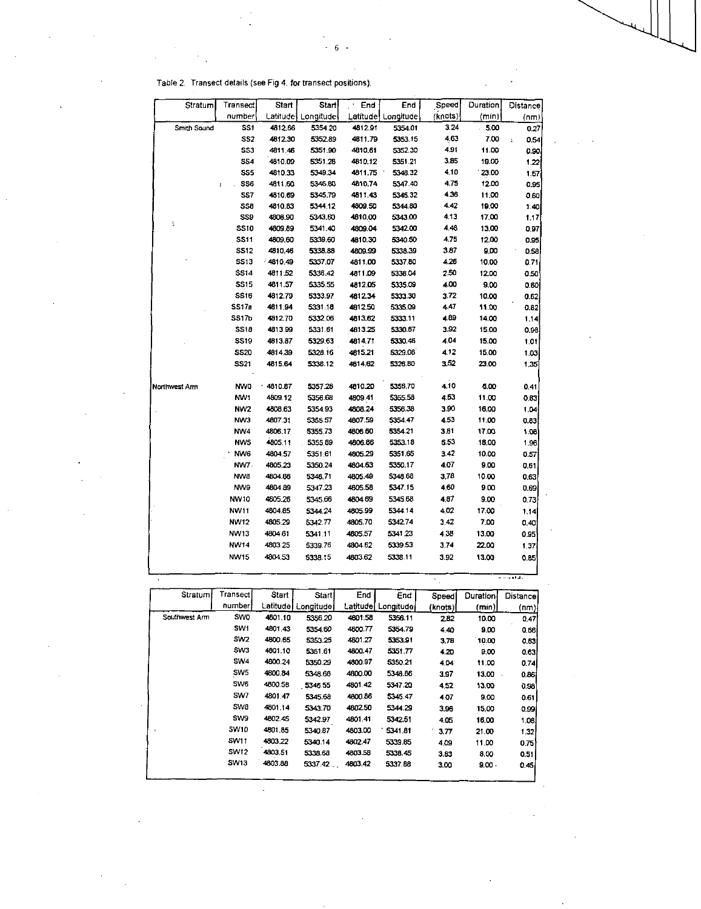| Stratum       | Transect        | Start   | Start                | End     | End                | Speed   | Duration | Distance                     |
|---------------|-----------------|---------|----------------------|---------|--------------------|---------|----------|------------------------------|
|               | number          |         | Latitude   Longitude |         | Latitude Longitude | (knots) | (min)    | (nm)                         |
| Smith Sound   | <b>SS1</b>      | 4812.66 | 5354.20              | 4812.91 | 5354.01            | 3.24    | $-5.00$  | 0.27                         |
|               | SS <sub>2</sub> | 4812.30 | 5352.89              | 4811.79 | 5353.15            | 4,63    | 7.00     | 0.54<br>$\ddot{\phantom{a}}$ |
|               | SS3             | 4811.46 | 5351.90              | 4610.61 | 5352.30            | 4.91    | 11.00    | 0.90                         |
|               | SS4             | 4810.09 | 5351.28              | 4810.12 | 5351.21            | 3.85    | 19.00    | 1,22                         |
|               | SS5             | 4810.33 | 5349.34              | 4811.75 | 5348.32            | 4.10    | 23.00    | 1.57                         |
|               | SS6<br>ţ        | 4811.60 | 5346.80              | 4810.74 | 5347.40            | 4.75    | 12.00    | 0.95                         |
|               | SS7             | 4810.69 | 5345.79              | 4811.43 | 5345.32            | 4.36    | 11.00    | 0.60                         |
|               | SS <sub>B</sub> | 4810.83 | 5344.12              | 4809.50 | 5344.80            | 4.42    | 19.00    | 1.40                         |
| ţ             | <b>SS9</b>      | 4808.90 | 5343.60              | 4810.00 | 5343.00            | 4.13    | 17.00    | 1.17                         |
|               | <b>SS10</b>     | 4809.89 | 5341.40              | 4809.04 | 5342.00            | 4,48    | 13.00    | 0.97                         |
|               | <b>SS11</b>     | 4809.60 | 5339.60              | 4810.30 | 5340.50            | 4.75    | 12.00    | 0.95                         |
|               | SS12            | 4810.46 | 5338 88              | 4809.99 | 5338.39            | 3.87    | 900      | 0.58                         |
|               | SS13            | 481049  | 5337.07              | 4811.00 | 533780             | 4.26    | 10.00    | 0.71                         |
|               | <b>SS14</b>     | 4611.52 | 5336 42              | 4811.09 | 5336.04            | 250     | 12.00    | 0.50                         |
|               | SS15            | 4011.57 | 5335.55              | 4812.05 | 5335.09            | 4.00    | 9.00     | 0.60                         |
|               | SS16            | 4612.79 | 5333.97              | 4812.34 | 5333.30            | 3.72    | 10.00    | 0.62                         |
|               | SS17a           | 4811.94 | 5331.18              | 4812.50 | 5335.09            | 4.47    | 11.00    | C.82                         |
|               | SS17b           | 4812.70 | 5332.06              | 4813.62 | 5333.11            | 4.89    | 14.00    | 1.14                         |
|               | SS18            | 4813.99 | 5331.61              | 4613.25 | 5330.67            | 3.92    | 15.00    | 0.98                         |
|               | <b>SS19</b>     | 4813.87 | 5329 63              | 481471  | 5330.46            | 4.04    | 15.00    | 1.01                         |
|               | <b>SS20</b>     | 4814.39 | 5328.16              | 4815.21 | 532908             | 412     | 15.00    | 1.03                         |
|               | SS21            | 4815.64 | 5338.12              | 4614.62 | 5326 80            | 3.52    | 23.00    | 1.35                         |
| Northwest Arm | NVVO            | 4810.87 | 5357.28              | 4810.20 | 5356.70            | 4.10    | 6.00     | 0.41                         |
|               | NV/1            | 4609.12 | 5356.68              | 4809.41 | 5355.58            | 4.53    | 11.00    | 0.83                         |
|               | NW <sub>2</sub> | 4808.63 | 5354.93              | 4608.24 | 5356.38            | 3.90    | 16.00    | 1.04                         |
|               | NW3             | 4807.31 | 5355.57              | 4807.59 | 5354.47            | 4.53    | 11.00    | 0.83                         |
|               | NV/4            | 4806.17 | 5355.73              | 4806.60 | 5354.21            | 3.51    | 1700     | 108                          |
|               | NW <sub>5</sub> | 4805.11 | 5355.89              | 4806.86 | 5353 18            | 6.53    | 18.00    | 1.96                         |
|               | NW6             | 4804.57 | 5351.61              | 4805 29 | 5351 65            | 3.42    | 10.00    | 0.57                         |
|               | NW7.            | 4805.23 | 5350.24              | 4804.63 | 5350.17            | 4.07    | 9.00     | 0.61                         |
|               | NW8             | 4804.86 | 5348.71              | 4805.49 | 5348.68            | 3,78    | 10.00    | 0.63                         |
|               | NV/9            | 4604.89 | 5347.23              | 4805.58 | 5347.15            | 4.60    | 9.00     | 0.69                         |
|               | NW10            | 4805.26 | 5345.66              | 4804.69 | 5345.68            | 4.37    | 9.00     | 0.73                         |
|               | NW11            | 4804.85 | 5344.24              | 4805.99 | 5344.14            | 4.02    | 17.00    | 1.14                         |
|               | NW12            | 4805.29 | 5342.77              | 4805.70 | 5342.74            | 3.42    | 7.00     | 0.40                         |
|               | NW13            | 4804.61 | 5341.11              | 4805.57 | 5341 23            | 4.38    | 13.00    | 0.95                         |
|               | <b>NW14</b>     | 4803.25 | 5339.76              | 4804.62 | 5339.53            | 3.74    | 22.00    | 1.37                         |
|               | NW15            | 4804.53 | 5338.15              | 4803.62 | 5338.11            | 3.92    | 13.00    | 0.85                         |
|               |                 |         |                      |         |                    |         |          |                              |

 $\frac{1}{6}$  6

 $\sim$ 

|  |  |  | Table 2.  Transect details (see Fig 4, for transect positions). |
|--|--|--|-----------------------------------------------------------------|
|  |  |  |                                                                 |

|               |                  |           |           |           |           |         |                 | $- - - - - - -$ |
|---------------|------------------|-----------|-----------|-----------|-----------|---------|-----------------|-----------------|
| Stratum       | Transect         | Start     | Start     | End       | End       | Speed   | <b>Duration</b> | <b>Distance</b> |
|               | number           | Latitudel | Longitude | Latitude. | Longitude | (knots) | (min)           | (nm)            |
| Southwest Arm | SV/O             | 4801.10   | 5356.20   | 4601.58   | 5356.11   | 2.82    | 10.00           | 0.47            |
|               | SV <sub>v1</sub> | 4801.43   | 5354.60   | 4800.77   | 5354.79   | 4.40    | 9.00            | 0.56            |
|               | SW <sub>2</sub>  | 4800.65   | 5353.25   | 4801.27   | 5353.91   | 3.78    | 10.00           | 0.63            |
|               | SW3              | 4801.10   | 5351.61   | 4800.47   | 5351.77   | 4.20    | 9.00            | 0.63            |
|               | SW <sub>4</sub>  | 4800.24   | 5350.29   | 4800.97   | 5350.21   | 4.04    | 11.00           | 0.74            |
|               | SW <sub>5</sub>  | 4800.84   | 5348.68   | 4800.00   | 5348.86   | 3.97    | 13.00<br>$\sim$ | 0.86            |
|               | SW <sub>6</sub>  | 4800.58   | 5346.55   | 4801.42   | 5347.20   | 4.52    | 13.00           | 0.98            |
|               | SW7              | 4801.47   | 5345.68   | 4800.86   | 5345.47   | 4.07    | 9.00            | 0.61            |
|               | SW <sub>8</sub>  | 4801.14   | 5343.70   | 4802.50   | 5344.29   | 3.96    | 15.00           | 0.99            |
|               | <b>SW9</b>       | 4802.45   | 5342.97   | 4801.41   | 5342.51   | 4.05    | 16.00           | 1.08            |
|               | <b>SW10</b>      | 4801.85   | 5340.87   | 4803.00   | 5341.81   | 3.77    | 21.00           | 1.32            |
|               | <b>SW11</b>      | 4803.22   | 5340.14   | 4802.47   | 5339.85   | 4.09    | 11.00           | 0.75            |
|               | SM12             | 4803.51   | 5338.68   | 4803.58   | 5338.45   | 3.83    | 8.00            | 0.51            |
|               | SW13             | 4803.88   | 5337.42   | 4803.42   | 5337.88   | 3.00    | $9.00 -$        | 0.451           |

 $\sim 10^{-1}$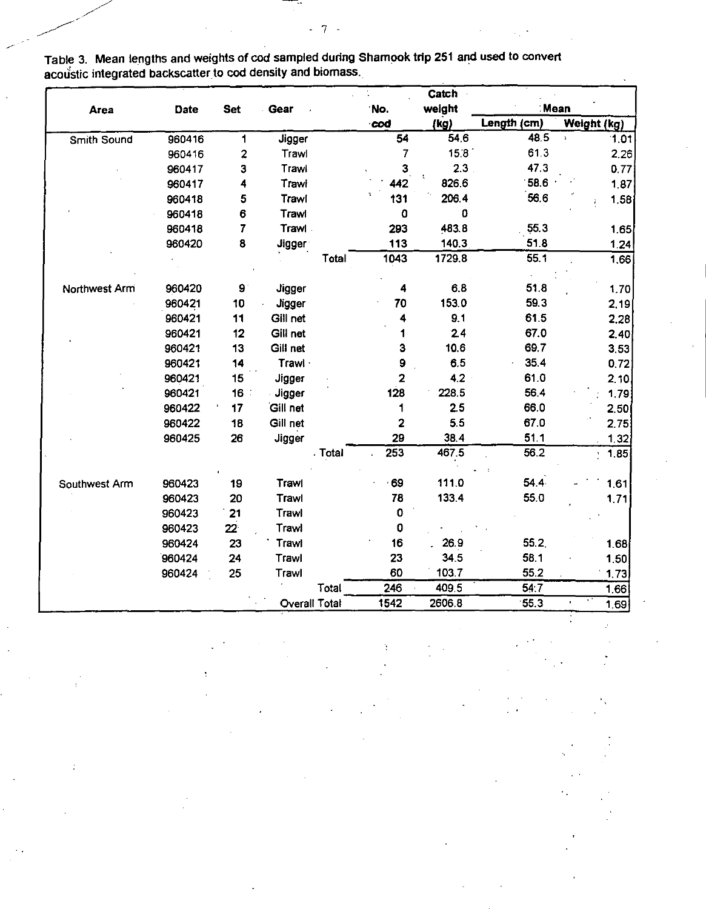|               |        |                         |                      |         |                         | Catch  |             |                          |
|---------------|--------|-------------------------|----------------------|---------|-------------------------|--------|-------------|--------------------------|
| Area          | Date   | <b>Set</b>              | Gear                 |         | No.                     | weight | ∶Mean       |                          |
|               |        |                         |                      |         | cod                     | (kg)   | Length (cm) | Weight (kg)              |
| Smith Sound   | 960416 | 1                       | Jigger               |         | 54                      | 54.6   | 48.5        | 1.01<br>$\ddot{\bullet}$ |
|               | 960416 | $\overline{\mathbf{c}}$ | Trawl                |         | 7                       | 158    | 61.3        | 2.26                     |
|               | 960417 | 3                       | Trawl                |         | 3                       | 2.3    | 47.3        | 0.77                     |
|               | 960417 | 4                       | Trawi                |         | 442                     | 826.6  | 58.6        | 1.87                     |
|               | 960418 | 5                       | Trawl                |         | 131                     | 206.4  | 56.6        | 1,58                     |
|               | 960418 | 6                       | Trawl                |         | 0                       | 0      |             |                          |
|               | 960418 | 7                       | Trawl                |         | 293                     | 483.8  | 55.3        | 1.65                     |
|               | 960420 | 8                       | <b>Jigger</b>        |         | 113                     | 140.3  | 51.8        | 1.24                     |
|               |        |                         |                      | Total   | 1043                    | 1729.8 | 55.1        | 1.66                     |
|               |        |                         |                      |         |                         |        |             |                          |
| Northwest Arm | 960420 | $\mathbf{9}$            | <b>Jigger</b>        |         | 4                       | 6.8    | 51.8        | 1.70                     |
|               | 960421 | 10                      | <b>Jigger</b>        |         | 70                      | 153.0  | 59.3        | 2.19                     |
|               | 960421 | 11                      | Gill net             |         | 4                       | 9.1    | 61.5        | 2.28                     |
|               | 960421 | 12                      | Gill net             |         | 1                       | 2.4    | 67.0        | 2,40                     |
|               | 960421 | 13                      | Gill net             |         | 3                       | 10.6   | 69.7        | 3.53                     |
|               | 960421 | 14                      | Trawl                |         | 9                       | 6.5    | 35.4        | 0.72                     |
|               | 960421 | 15                      | Jigger               |         | $\overline{\mathbf{2}}$ | 4.2    | 61.0        | 2.10                     |
|               | 960421 | 16 <sup>2</sup>         | Jigger               |         | 128                     | 228.5  | 56.4        | 1,79                     |
|               | 960422 | 17                      | Gill net             |         | 1                       | 2.5    | 66.0        | 2.50                     |
|               | 960422 | 18                      | Gill net             |         | 2                       | 5.5    | 67.0        | 2.75                     |
|               | 960425 | 26                      | Jigger               |         | 29                      | 38.4   | 51.1        | 1.32                     |
|               |        |                         |                      | . Total | $\overline{253}$        | 467.5  | 56.2        | 1.85<br>¥                |
|               |        |                         |                      |         |                         |        |             |                          |
| Southwest Arm | 960423 | 19                      | Trawl                |         | 69                      | 111.0  | 54.4        | 161                      |
|               | 960423 | 20                      | Trawl                |         | 78                      | 133.4  | 55.0        | 1.71                     |
|               | 960423 | 21                      | Trawl                |         | 0                       |        |             |                          |
|               | 960423 | $22^{\circ}$            | Trawl                |         | 0                       |        |             |                          |
|               | 960424 | 23                      | Trawl                |         | 16                      | 26.9   | 55.2        | 168                      |
|               | 960424 | 24                      | Trawl                |         | 23                      | 34.5   | 58.1        | 1.50                     |
|               | 960424 | 25                      | Trawl                |         | 60                      | 103.7  | 55.2        | 1.73                     |
|               |        |                         |                      | Total   | 246                     | 409.5  | 54:7        | 1.66                     |
|               |        |                         | <b>Overall Total</b> |         | 1542                    | 2606.8 | 55.3        | 1.69                     |

Table 3. Mean lengths and weights of cod sampled during Shamook trip 251 and used to convert  $\mathop{\mathrm{cou}}\nolimits$ stic integrated backscatter to  $\mathop{\mathrm{cod}}\nolimits$  density and biomass.

-----

 $-7 -$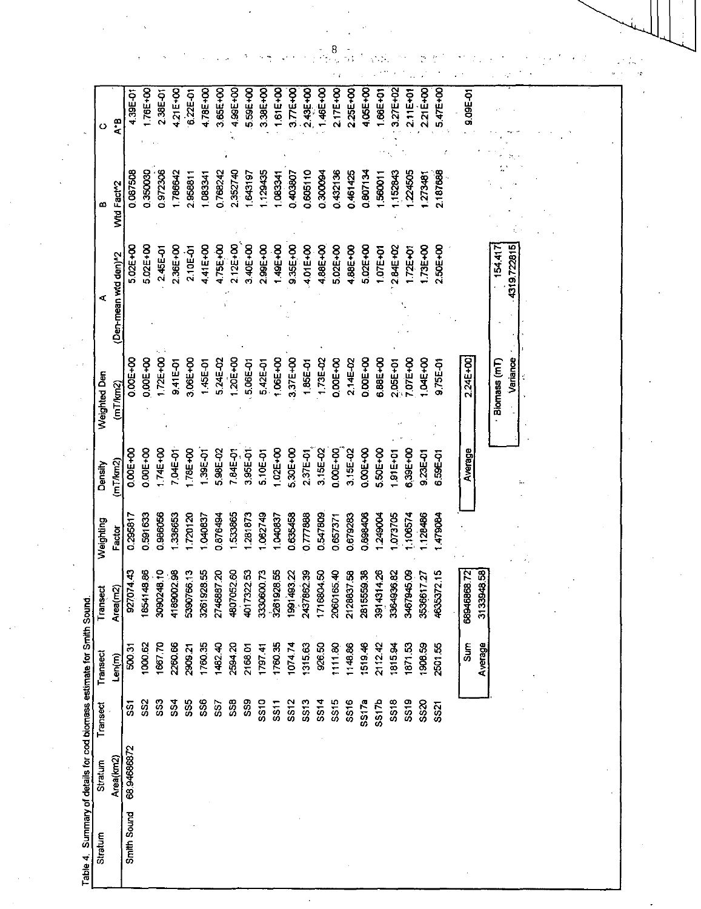| Stratum     | Stratum    | Transect        | Transect    | <b>Isect</b><br>뎥         | Weighting | Density       | Weighted Den     | ⋖                    | ≃          | ပ             |
|-------------|------------|-----------------|-------------|---------------------------|-----------|---------------|------------------|----------------------|------------|---------------|
|             | Area(km2)  |                 | Len(m)      | Area(m2)                  | Factor    | (mT/km2)      | (mT/km2)         | (Den-mean wid den)^2 | Wid Fact^2 | A*B           |
| Smith Sound | 6894686872 | င္တ             | 500.31      | 927074.43                 | 0.295817  | 0.00E+00      | 0.005+00         | 5.02E+00             | 0.087508   | 4.39E-01      |
|             |            | SS <sub>2</sub> | 1000.62     | 1854148.86                | 0.591633  | 0.00E+00      | 0.00E+00         | 5.02E+00             | 0350030    | 176E+00       |
|             |            | SS3             | 1667.70     | 3090248.10                | 0.986056  | 1.74E+00      | 1.72E+00         | 2.45E-01             | 0.972306   | 2.38E-01      |
|             |            | \$34            | 2260.66     | 4189002.98                | 336653    | 7.04E-01      | 9.41E-01         | 2.36E+00             | 786642     | 4.21E+00      |
|             |            | <b>SS5</b>      | 2909.21     | 5390766.13                | 720120    | 78E+00        | 3.06E+00         | 2.10E-01             | 2.95881    | 6.22E 01      |
|             |            | <b>SS6</b>      | 1760.35     | 3261928.55                | 040837    | <b>195-98</b> | 1.45E-01         | 4.41E+00             | 1.083341   | 4.78E+00      |
|             |            | <b>SS7</b>      | 1482.40     | 2746887.20                | 1.876494  | 5.98E-02      | 5.24E-02         | 4.75E+00             | 0.768242   | 3.65E+00      |
|             |            | 558             | 2594.20     | 4807052.60                | 533865    | 7.84E-01      | 1,20E+00         | 2.12E+00             | 2.352740   | 4.99E+00      |
|             |            | SS9             | 2168.01     | 4017322.53                | 281873    | 3,95E-01      | 5.06E-01         | 3.40E+00             | 643197     | 559E+00       |
|             |            | SS10            | 1797.41     | 3330600.73                | 062749    | 5.10E-01      | 5.42E-01         | 2.99E+00             | 129435     | 3.38E+00      |
|             |            | <b>SS11</b>     | 1760.35     | 3261928.55                | 040837    | <b>COL+00</b> | 1.06E+00         | 1.49E+00             | 108334     | 1.61E+00      |
|             |            | SS12            | 1074.74     | 1991493.22                | 0.635458  | 5,30E+00      | 3.37E+00         | 9.35E+00             | 0.403807   | 3.77E+00      |
|             |            | SS13            | 1315.63     | 2437862.39                | 0.777888  | 2.37E-01      | 1,85E-01         | 4.01E+00             | 0.605110   | 243E+00       |
|             |            | \$514           | 926.50      | 6804.50<br>171            | 0.547809  | 3.15E-02      | 1.73E-02         | 4.88E+00             | 0.300094   | 146E+00       |
|             |            | 5s15            | 1111.80     | 2060165.40                | 0.657371  | 0.00E+00      | 0.00E+00         | 5.02E+00             | 0432136    | 2.17E+00      |
|             |            | SS16            | 1148.86     | 2128837.58                | 0.679283  | 3.15E-02      | 2.14E-02         | 4.88E+00             | 0.461425   | 2.25E+00      |
|             |            | SS17a           | 1519.46     | 5559.38<br>$\overline{a}$ | 0.898406  | 0.00E+00      | D.DOE+00         | 5.02E+00             | 0.807134   | 4.05E+00      |
|             |            | SS17b           | 2112.42     | 4314.26<br>391            | 249004    | 5.50E+00      | 6.88E+00         | <b>IO7E+01</b>       | 560011     | <b>66E+01</b> |
|             |            | <b>SS18</b>     | 1815.94     | 3364936.82                | 073705    | <b>S1E+01</b> | 2.05E+01         | 2.84E+02             | 152843     | 3.27E+02      |
|             |            | SS19            | 1871,53     | 3467945.09                | 106574    | 5.39E+00      | <b>07E+00</b>    | <b>1.72E+01</b>      | 224505     | 2.11E+01      |
|             |            | SS20            | 1908.59     | 3536617.27                | 128486    | 9.23E-01      | <b>I OAE +00</b> | <b>1.73E+00</b>      | 273481     | 2.21E+00      |
|             |            | SS21            | 250155      | 4635372.15                | 1479084   | 6.59E-01      | <b>0.75E-01</b>  | 2.50E+00             | 2.187688   | 5.47E+00      |
|             |            |                 |             |                           |           |               |                  |                      |            |               |
|             |            |                 | <b>Surf</b> | 68946868.72               |           | Average       | 2.24E+00         |                      |            | 9.09E-01      |
|             |            |                 | Average     | 3133948.58                |           |               |                  |                      |            |               |
|             |            |                 |             |                           |           |               | Biomass (mT)     | 154.417              |            |               |
|             |            |                 |             |                           |           |               | Variance         | 4319.722815          |            |               |
|             |            |                 |             |                           |           |               |                  |                      |            |               |
|             |            |                 |             |                           |           |               |                  |                      |            |               |
|             |            |                 |             |                           |           |               |                  |                      |            |               |
|             |            |                 |             |                           |           |               |                  |                      |            |               |

 $\sim 10^{-1}$ 

 $\mathcal{F}^{\text{max}}_{\text{max}}$  and  $\mathcal{F}^{\text{max}}_{\text{max}}$ 

 $\frac{8}{16}\sqrt{3} \left(\frac{1}{2}\sqrt{3} \left(\frac{1}{2}\sqrt{3}\right)\right)^{1/2} \left(\frac{1}{2}\sqrt{3}\right)^{1/2} \left(\frac{1}{2}\sqrt{3}\right)^{1/2} \left(\frac{1}{2}\sqrt{3}\right)^{1/2}$ 

 $\frac{1}{2}$ 

 $\mathbb{Z}$ 

 $\sim$   $_{\star}$ 

 $\mathcal{O}(\mathcal{O}_\mathbf{A})$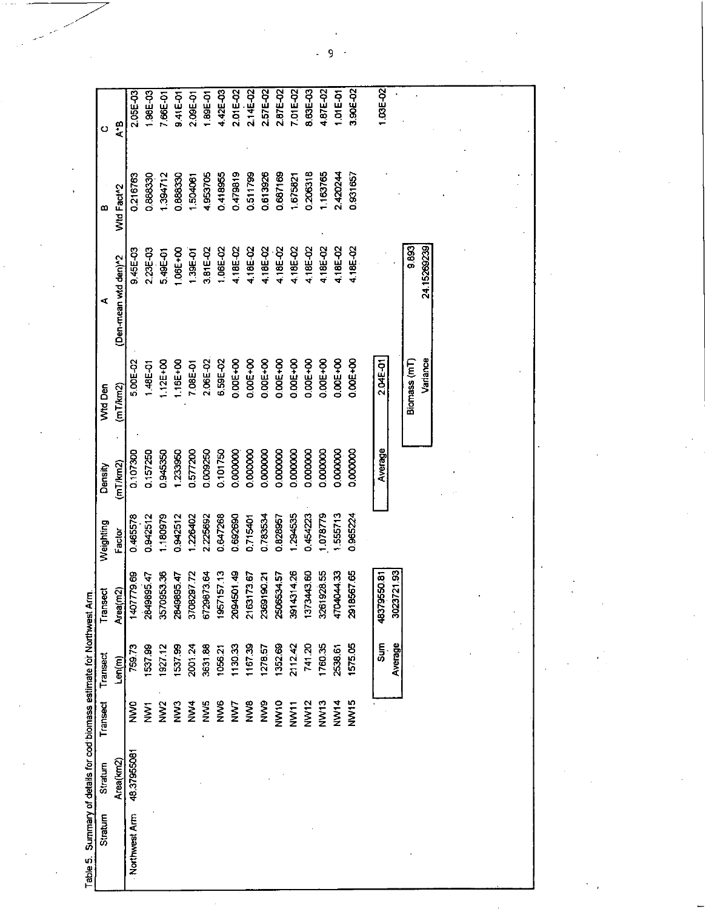Table 5. Summary of details for cod biomass estimate for Northwest Arm.

9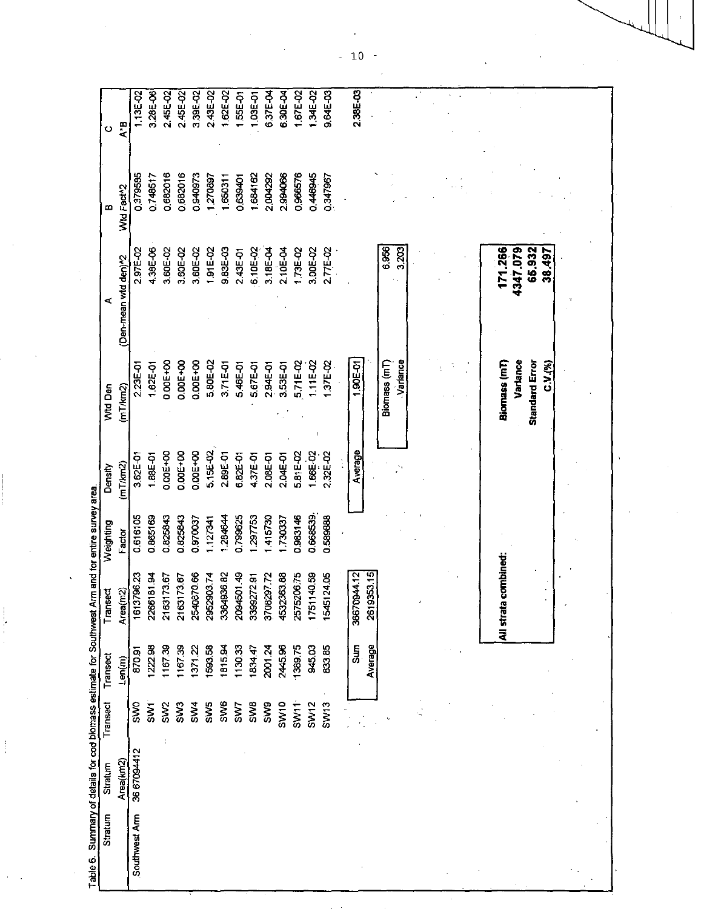| 238E-03<br>1.62E-02<br>9.64E-03<br>3,28E-06<br>3.39E-02<br>2.43E-02<br>245E-02<br>2.45E-02<br>637E-04<br>6.30E-04<br>1 67E-02<br>1.34E-02<br>113E-02<br><b>55E-01</b><br>1.03E-01<br>$A$ -B<br>0.682016<br>0.682016<br>2.994066<br>0.966576<br>0.940973<br>1.684162<br>0.446945<br>0.379585<br>0.748517<br>2.004292<br>1,270897<br>1962180<br>1.650311<br>0.639401<br>Wid Fact <sup>-2</sup><br>6.956<br>3.203<br>4.38E-06<br>4347.079<br>65.932<br>9.83E-03<br>171.266<br>2.97E-02<br>3.60E-02<br>3.60E-02<br>3,60E-02<br>1.91E-02<br>$6.10E - 02$<br>2.10E-04<br>1.73E-02<br>3.00E-02<br>2.77E-02<br>38.497<br>3.18E-04<br>2.43E-01<br>(Den-mean wid den)^2<br>0.00E+00<br>0.00E+00<br>1,90E-01<br>Biomass (mT)<br>Variance<br>Biornass (mT)<br>Variance<br>0.00E+00<br>5.80E-02<br>5.71E-02<br>37E-02<br><b>Standard Error</b><br>3.71E-01<br>1.11E-02<br>1.62E-01<br>5,46E-01<br>2.94E-01<br>2.23E-01<br>5.67E-01<br>3.53E-01<br>C V (%)<br>(mT/km2)<br>5,15E-02<br>Average<br>0.00E+00<br>0.00E+00<br>1.665-02<br>0.00E+00<br>5.81E-02<br>2.32E-02<br>2.89E-01<br>1.88E-01<br>4.37E-01<br>3.62E-01<br>6.82E-01<br>2.08E-01<br>2.04E-01<br>(mT/km2)<br>0.668539<br>284644<br>0983146<br>0616105<br>0.865169<br>0.825843<br>1799625<br>297753<br>415730<br>0.825843<br>730337<br>0589888<br>0.970037<br>127341<br>Factor<br>combined:<br>2619353.15<br>209450149<br>0944.12<br>2540870.66<br>3364936.82<br>4532363.88<br>2575206.75<br>1140.59<br>161379623<br>2266181.94<br>2952903.74<br>3708297.72<br>1545124.05<br>2163173.67<br>3399272.91<br>2163173.67<br>$\widetilde{R}$<br>1751<br>All strata<br>36670<br>Area(<br>Sum<br>Average<br>2445.96<br>2001.24<br>138975<br>945.03<br>83385<br>1222,98<br>1167.39<br>1815.94<br>113033<br>1167.39<br>1593.58<br>1371.22<br>1834.47<br>870.91<br>Len(m)<br><b>SW6</b><br><b>SWB</b><br>SW <sub>3</sub><br>SW <sub>5</sub><br>SW <sub>9</sub><br><b>SW10</b><br>SW12<br>SW <sub>13</sub><br>SWO<br>$\overline{5}$<br>5W4<br>$S$ W11<br>SW <sub>2</sub><br>SW7<br>36 67094412<br>Area(km2) | Southwest Arm |  | Stratum | Stratum | Transect | Transect | Transect | Weighting | Density | Wtd Den | ≃ | ပ |
|----------------------------------------------------------------------------------------------------------------------------------------------------------------------------------------------------------------------------------------------------------------------------------------------------------------------------------------------------------------------------------------------------------------------------------------------------------------------------------------------------------------------------------------------------------------------------------------------------------------------------------------------------------------------------------------------------------------------------------------------------------------------------------------------------------------------------------------------------------------------------------------------------------------------------------------------------------------------------------------------------------------------------------------------------------------------------------------------------------------------------------------------------------------------------------------------------------------------------------------------------------------------------------------------------------------------------------------------------------------------------------------------------------------------------------------------------------------------------------------------------------------------------------------------------------------------------------------------------------------------------------------------------------------------------------------------------------------------------------------------------------------------------------------------------------------------------------------------------------------------------------------------------------------------------------------------------------------------------------------------------------------------------------------------|---------------|--|---------|---------|----------|----------|----------|-----------|---------|---------|---|---|
|                                                                                                                                                                                                                                                                                                                                                                                                                                                                                                                                                                                                                                                                                                                                                                                                                                                                                                                                                                                                                                                                                                                                                                                                                                                                                                                                                                                                                                                                                                                                                                                                                                                                                                                                                                                                                                                                                                                                                                                                                                              |               |  |         |         |          |          |          |           |         |         |   |   |
|                                                                                                                                                                                                                                                                                                                                                                                                                                                                                                                                                                                                                                                                                                                                                                                                                                                                                                                                                                                                                                                                                                                                                                                                                                                                                                                                                                                                                                                                                                                                                                                                                                                                                                                                                                                                                                                                                                                                                                                                                                              |               |  |         |         |          |          |          |           |         |         |   |   |
|                                                                                                                                                                                                                                                                                                                                                                                                                                                                                                                                                                                                                                                                                                                                                                                                                                                                                                                                                                                                                                                                                                                                                                                                                                                                                                                                                                                                                                                                                                                                                                                                                                                                                                                                                                                                                                                                                                                                                                                                                                              |               |  |         |         |          |          |          |           |         |         |   |   |
|                                                                                                                                                                                                                                                                                                                                                                                                                                                                                                                                                                                                                                                                                                                                                                                                                                                                                                                                                                                                                                                                                                                                                                                                                                                                                                                                                                                                                                                                                                                                                                                                                                                                                                                                                                                                                                                                                                                                                                                                                                              |               |  |         |         |          |          |          |           |         |         |   |   |
|                                                                                                                                                                                                                                                                                                                                                                                                                                                                                                                                                                                                                                                                                                                                                                                                                                                                                                                                                                                                                                                                                                                                                                                                                                                                                                                                                                                                                                                                                                                                                                                                                                                                                                                                                                                                                                                                                                                                                                                                                                              |               |  |         |         |          |          |          |           |         |         |   |   |
|                                                                                                                                                                                                                                                                                                                                                                                                                                                                                                                                                                                                                                                                                                                                                                                                                                                                                                                                                                                                                                                                                                                                                                                                                                                                                                                                                                                                                                                                                                                                                                                                                                                                                                                                                                                                                                                                                                                                                                                                                                              |               |  |         |         |          |          |          |           |         |         |   |   |
|                                                                                                                                                                                                                                                                                                                                                                                                                                                                                                                                                                                                                                                                                                                                                                                                                                                                                                                                                                                                                                                                                                                                                                                                                                                                                                                                                                                                                                                                                                                                                                                                                                                                                                                                                                                                                                                                                                                                                                                                                                              |               |  |         |         |          |          |          |           |         |         |   |   |
|                                                                                                                                                                                                                                                                                                                                                                                                                                                                                                                                                                                                                                                                                                                                                                                                                                                                                                                                                                                                                                                                                                                                                                                                                                                                                                                                                                                                                                                                                                                                                                                                                                                                                                                                                                                                                                                                                                                                                                                                                                              |               |  |         |         |          |          |          |           |         |         |   |   |
|                                                                                                                                                                                                                                                                                                                                                                                                                                                                                                                                                                                                                                                                                                                                                                                                                                                                                                                                                                                                                                                                                                                                                                                                                                                                                                                                                                                                                                                                                                                                                                                                                                                                                                                                                                                                                                                                                                                                                                                                                                              |               |  |         |         |          |          |          |           |         |         |   |   |
|                                                                                                                                                                                                                                                                                                                                                                                                                                                                                                                                                                                                                                                                                                                                                                                                                                                                                                                                                                                                                                                                                                                                                                                                                                                                                                                                                                                                                                                                                                                                                                                                                                                                                                                                                                                                                                                                                                                                                                                                                                              |               |  |         |         |          |          |          |           |         |         |   |   |
|                                                                                                                                                                                                                                                                                                                                                                                                                                                                                                                                                                                                                                                                                                                                                                                                                                                                                                                                                                                                                                                                                                                                                                                                                                                                                                                                                                                                                                                                                                                                                                                                                                                                                                                                                                                                                                                                                                                                                                                                                                              |               |  |         |         |          |          |          |           |         |         |   |   |
|                                                                                                                                                                                                                                                                                                                                                                                                                                                                                                                                                                                                                                                                                                                                                                                                                                                                                                                                                                                                                                                                                                                                                                                                                                                                                                                                                                                                                                                                                                                                                                                                                                                                                                                                                                                                                                                                                                                                                                                                                                              |               |  |         |         |          |          |          |           |         |         |   |   |
|                                                                                                                                                                                                                                                                                                                                                                                                                                                                                                                                                                                                                                                                                                                                                                                                                                                                                                                                                                                                                                                                                                                                                                                                                                                                                                                                                                                                                                                                                                                                                                                                                                                                                                                                                                                                                                                                                                                                                                                                                                              |               |  |         |         |          |          |          |           |         |         |   |   |
|                                                                                                                                                                                                                                                                                                                                                                                                                                                                                                                                                                                                                                                                                                                                                                                                                                                                                                                                                                                                                                                                                                                                                                                                                                                                                                                                                                                                                                                                                                                                                                                                                                                                                                                                                                                                                                                                                                                                                                                                                                              |               |  |         |         |          |          |          |           |         |         |   |   |
|                                                                                                                                                                                                                                                                                                                                                                                                                                                                                                                                                                                                                                                                                                                                                                                                                                                                                                                                                                                                                                                                                                                                                                                                                                                                                                                                                                                                                                                                                                                                                                                                                                                                                                                                                                                                                                                                                                                                                                                                                                              |               |  |         |         |          |          |          |           |         |         |   |   |
|                                                                                                                                                                                                                                                                                                                                                                                                                                                                                                                                                                                                                                                                                                                                                                                                                                                                                                                                                                                                                                                                                                                                                                                                                                                                                                                                                                                                                                                                                                                                                                                                                                                                                                                                                                                                                                                                                                                                                                                                                                              |               |  |         |         |          |          |          |           |         |         |   |   |
|                                                                                                                                                                                                                                                                                                                                                                                                                                                                                                                                                                                                                                                                                                                                                                                                                                                                                                                                                                                                                                                                                                                                                                                                                                                                                                                                                                                                                                                                                                                                                                                                                                                                                                                                                                                                                                                                                                                                                                                                                                              |               |  |         |         |          |          |          |           |         |         |   |   |
|                                                                                                                                                                                                                                                                                                                                                                                                                                                                                                                                                                                                                                                                                                                                                                                                                                                                                                                                                                                                                                                                                                                                                                                                                                                                                                                                                                                                                                                                                                                                                                                                                                                                                                                                                                                                                                                                                                                                                                                                                                              |               |  |         |         |          |          |          |           |         |         |   |   |
|                                                                                                                                                                                                                                                                                                                                                                                                                                                                                                                                                                                                                                                                                                                                                                                                                                                                                                                                                                                                                                                                                                                                                                                                                                                                                                                                                                                                                                                                                                                                                                                                                                                                                                                                                                                                                                                                                                                                                                                                                                              |               |  |         |         |          |          |          |           |         |         |   |   |
|                                                                                                                                                                                                                                                                                                                                                                                                                                                                                                                                                                                                                                                                                                                                                                                                                                                                                                                                                                                                                                                                                                                                                                                                                                                                                                                                                                                                                                                                                                                                                                                                                                                                                                                                                                                                                                                                                                                                                                                                                                              |               |  |         |         |          |          |          |           |         |         |   |   |
|                                                                                                                                                                                                                                                                                                                                                                                                                                                                                                                                                                                                                                                                                                                                                                                                                                                                                                                                                                                                                                                                                                                                                                                                                                                                                                                                                                                                                                                                                                                                                                                                                                                                                                                                                                                                                                                                                                                                                                                                                                              |               |  |         |         |          |          |          |           |         |         |   |   |
|                                                                                                                                                                                                                                                                                                                                                                                                                                                                                                                                                                                                                                                                                                                                                                                                                                                                                                                                                                                                                                                                                                                                                                                                                                                                                                                                                                                                                                                                                                                                                                                                                                                                                                                                                                                                                                                                                                                                                                                                                                              |               |  |         |         |          |          |          |           |         |         |   |   |
|                                                                                                                                                                                                                                                                                                                                                                                                                                                                                                                                                                                                                                                                                                                                                                                                                                                                                                                                                                                                                                                                                                                                                                                                                                                                                                                                                                                                                                                                                                                                                                                                                                                                                                                                                                                                                                                                                                                                                                                                                                              |               |  |         |         |          |          |          |           |         |         |   |   |
|                                                                                                                                                                                                                                                                                                                                                                                                                                                                                                                                                                                                                                                                                                                                                                                                                                                                                                                                                                                                                                                                                                                                                                                                                                                                                                                                                                                                                                                                                                                                                                                                                                                                                                                                                                                                                                                                                                                                                                                                                                              |               |  |         |         |          |          |          |           |         |         |   |   |
|                                                                                                                                                                                                                                                                                                                                                                                                                                                                                                                                                                                                                                                                                                                                                                                                                                                                                                                                                                                                                                                                                                                                                                                                                                                                                                                                                                                                                                                                                                                                                                                                                                                                                                                                                                                                                                                                                                                                                                                                                                              |               |  |         |         |          |          |          |           |         |         |   |   |
|                                                                                                                                                                                                                                                                                                                                                                                                                                                                                                                                                                                                                                                                                                                                                                                                                                                                                                                                                                                                                                                                                                                                                                                                                                                                                                                                                                                                                                                                                                                                                                                                                                                                                                                                                                                                                                                                                                                                                                                                                                              |               |  |         |         |          |          |          |           |         |         |   |   |
|                                                                                                                                                                                                                                                                                                                                                                                                                                                                                                                                                                                                                                                                                                                                                                                                                                                                                                                                                                                                                                                                                                                                                                                                                                                                                                                                                                                                                                                                                                                                                                                                                                                                                                                                                                                                                                                                                                                                                                                                                                              |               |  |         |         |          |          |          |           |         |         |   |   |
|                                                                                                                                                                                                                                                                                                                                                                                                                                                                                                                                                                                                                                                                                                                                                                                                                                                                                                                                                                                                                                                                                                                                                                                                                                                                                                                                                                                                                                                                                                                                                                                                                                                                                                                                                                                                                                                                                                                                                                                                                                              |               |  |         |         |          |          |          |           |         |         |   |   |
|                                                                                                                                                                                                                                                                                                                                                                                                                                                                                                                                                                                                                                                                                                                                                                                                                                                                                                                                                                                                                                                                                                                                                                                                                                                                                                                                                                                                                                                                                                                                                                                                                                                                                                                                                                                                                                                                                                                                                                                                                                              |               |  |         |         |          |          |          |           |         |         |   |   |

 $\hat{\boldsymbol{\gamma}}$ 

Ù  $\frac{2}{3}$   $\cdot$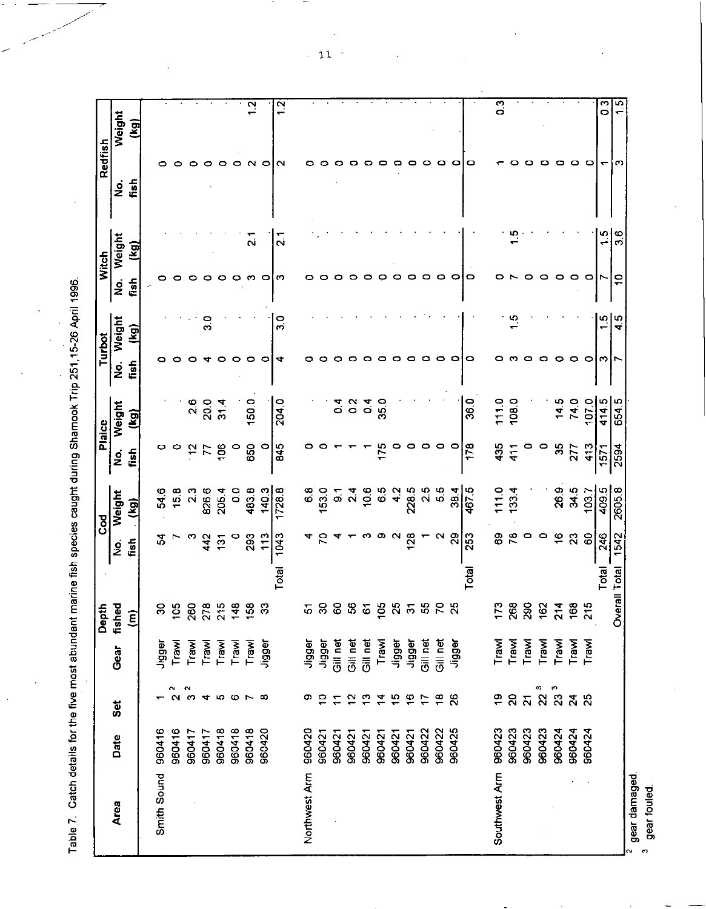Table 7 Catch details for the five most abundant marine fish species caught during Shamook Trip 251,15-26 April 1996.

l,

|                   |        |                         |                | Depth                |       | <b>PO</b>      |               |                    | Plaice         |         | Turbot        |      | <b>Witch</b>      | Redfish            |                |
|-------------------|--------|-------------------------|----------------|----------------------|-------|----------------|---------------|--------------------|----------------|---------|---------------|------|-------------------|--------------------|----------------|
| Area              | Date   | Set                     | Gear           | fished               |       | gi             | Weight        | $\dot{\mathbf{z}}$ | Weight         | ġ       | Weight        | ġ    | Weight            | g                  | Weight         |
|                   |        |                         |                | $\widehat{\epsilon}$ |       | fish           | (kq)          | fish               | (kg)           | fish    | (kg)          | fish | (kg)              | fish               | (kg)           |
| Smith Sound       | 960416 |                         |                |                      |       |                |               |                    |                |         |               |      |                   |                    |                |
|                   |        | $\sim$                  | Jigger         | S                    |       | 34             | 546           | o                  |                | 0       |               |      |                   |                    |                |
|                   | 960416 | $\mathbf{\Omega}$       | Trawl          | $\mathbf{S}$         |       |                | 15.8          | 0                  |                |         |               |      |                   |                    |                |
|                   | 960417 |                         | Trawl          | 260                  |       | ო              | $\frac{3}{2}$ | ä                  | $\frac{6}{2}$  |         |               |      |                   |                    |                |
|                   | 960417 |                         | Trawl          | 278                  |       | 442            | 826.6         | 77                 | 20.0           |         | ာ<br>က        |      |                   |                    |                |
|                   | 960418 |                         | Trawl          | 215                  |       | 131            | 2054          | 106                | 31.4           | o       |               | o    |                   | o                  |                |
|                   | 960418 |                         | Trawl          | $\frac{48}{5}$       |       | 0              | $\frac{0}{2}$ | 0                  |                | 0       |               | o    |                   | 0                  |                |
|                   | 960418 |                         | Trawl          | $\overline{3}$       |       | 293            | 483.8         | 650                | 150.0          | $\circ$ |               |      | $\frac{1}{2}$     | $\sim$             | $\frac{2}{1}$  |
|                   | 960420 |                         | Jigger         | ន                    |       | 113            | 1403          | 0                  |                | o       |               |      |                   | 0                  |                |
|                   |        |                         |                |                      | Total | 1043           | 1728.8        | 845                | 204.0          | ෑ       | o c           | m    | $\overline{2}$ 1  | $\scriptstyle\sim$ | <u>ب</u>       |
| Northwest Arm     | 960420 | Φ                       | Jigger         | 5                    |       |                | 6.8           |                    |                |         |               |      |                   |                    |                |
|                   | 960421 | $\ddot{ }$              | Jigger         | 8                    |       | 2              | 153.0         |                    |                |         |               |      |                   |                    |                |
|                   | 960421 | $\mathbf{r}$            | Gill net       | 8                    |       |                | 5             |                    | $\frac{4}{10}$ |         |               |      |                   | o                  |                |
|                   | 960421 | 55                      | Gill net       | \$                   |       |                | $\frac{4}{2}$ |                    | $\frac{2}{5}$  |         |               |      |                   |                    |                |
|                   | 960421 | ္                       | Gill net       | 61                   |       |                | 10.6          |                    | $\overline{0}$ |         |               |      |                   |                    |                |
|                   | 960421 | 24                      | Trawl          | S,                   |       | œ              | 6.5           |                    | 35.0           |         |               |      |                   | o                  |                |
|                   | 960421 | မ္                      | Jigger         | 25                   |       | $\sim$         | $\frac{2}{4}$ |                    |                |         |               |      |                   | о                  |                |
|                   | 960421 | $\frac{6}{5}$           | Jigger         | $\overline{5}$       |       | $\frac{3}{28}$ | 228.5         |                    |                | o       |               |      |                   | o                  |                |
|                   | 960422 | F                       | Gill net       | 55                   |       |                | 2.5           |                    |                | 0       |               | 0    |                   | っ                  |                |
|                   | 960422 | $\frac{8}{16}$          | Gill net       | P,                   |       |                | 5.5           | o                  |                | o       |               | o    |                   | o                  |                |
|                   | 960425 | 26                      | Jigger         | $\frac{25}{2}$       |       | $\mathbf{g}$   | 38.4          | $\circ$            |                | 0       |               |      |                   | 0                  |                |
|                   |        |                         |                |                      | Total | 253            | 467.5         | 178                | 36.0           | o       |               |      |                   | 0                  |                |
| Southwest Arm     | 960423 | é,                      | Trawl          | 173                  |       | 8              | 111.0         | 435                | 111.0          |         |               |      |                   |                    | C, O           |
|                   | 960423 | $\mathsf{S}$            | Trawl          | 268                  |       | $\tilde{z}$    | 133.4         | $\frac{1}{4}$      | 108.0          |         |               |      |                   |                    |                |
|                   | 960423 | $\overline{\mathbf{z}}$ | Trawl          | 290                  |       | 0              |               | 0                  |                |         |               |      |                   |                    |                |
|                   | 960423 | $2^3$                   | Trawl          | 162                  |       | 0              |               | 0                  |                |         |               |      |                   | ▭                  |                |
|                   | 960424 | ិ<br>លី <b>សី</b> សី    | Trawl          | $\frac{4}{2}$        |       | $\frac{6}{5}$  | 269           | 35                 | 14.5           | o       |               | 0    |                   | ▭                  |                |
|                   | 960424 |                         | Trawl<br>Trawl | 168                  |       | ន              | 34.5          | 277                | 74.0           | 0       |               | o    |                   | o                  |                |
|                   | 960424 |                         |                | 215                  |       | 8              | 103.7         | 413                | 107.0          | $\circ$ |               | o    |                   | 0                  |                |
|                   |        |                         |                |                      | Total | 246            | 409.5         | 1571               | 414.5          | ო       | $\frac{5}{1}$ |      | ၯ                 | ↽                  | $\overline{3}$ |
|                   |        |                         |                | Overall Total        |       | 1542           | 2605.8        | 2594               | 654.5          |         | 45            | پ    | Ø<br>$\mathbf{r}$ | ო                  | r.<br>٣        |
| benemep Jeep<br>N |        |                         |                |                      |       |                |               |                    |                |         |               |      |                   |                    |                |

 $-11$ 

\* gear damaged.<br><sup>3</sup> gear fouled.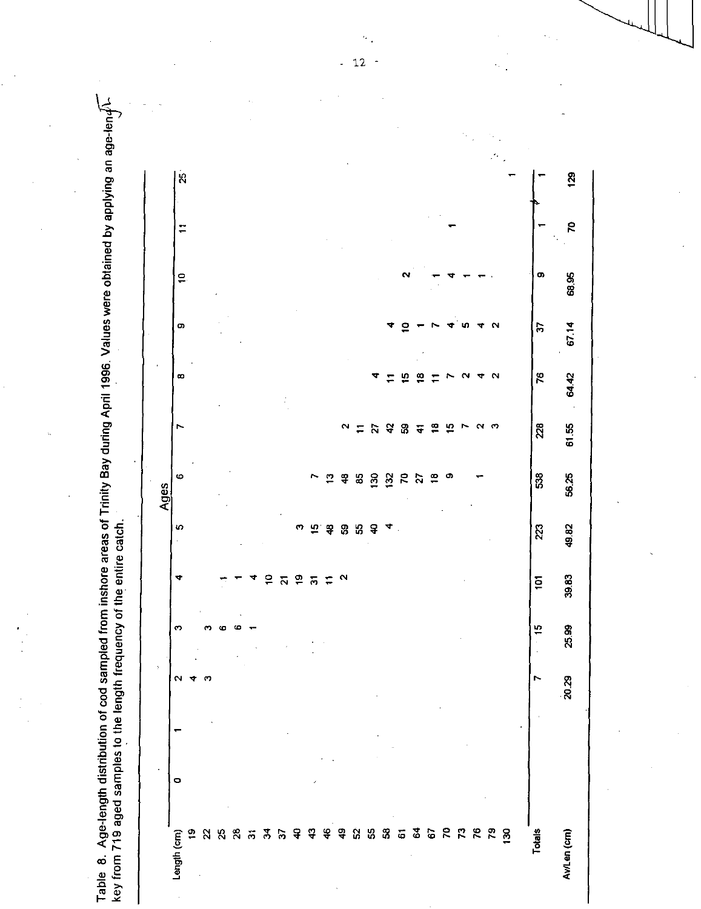Table  $~$  8. Age-length distribution of cod sampled from inshore areas of Trinity Bay during April 1996. Values were obtained by applying an age-len $d$ \-129  $\mathbf{g}$ **P**  $\overline{1}$ 68.95 o,  $\overline{P}$  $\triangleright$ 67.14 **တ**  $\mathbf{\Omega}$  $\mathbf{e}$ m 64.42 œ  $\overline{a}$  $\mathbf{\underline{\omega}}$  $\mathbf{\Omega}$ 76  $\Xi$  $\equiv$ 61.55  $\overline{28}$  $\mathbf{\tilde{N}}$  $48$  $\overline{\mathbf{z}}$  $\mathbf{a}$ 오  $\mathbf{\alpha}$ ෆ  $\equiv$  $\overline{4}$ 56.25  $32$  $\mathcal{R}$ នៃ ဖ N  $\mathbf{r}$  $\ddot{a}$  $\boldsymbol{3}$  $\mathbf{S}$  $\overline{27}$  $\frac{8}{1}$ O) Ages key from 719 aged samples to the length frequency of the entire catch. 49.82 223 to.  $\overline{\mathbf{u}}$  $\ddot{ }$ စ္တ ್ಯ Ø  $\mathbf{a}$ 4 39.83  $\blacktriangledown$  $\overline{a}$  $\mathbf{e}$  $\overline{\phantom{0}}$  $\mathbf{\Omega}$  $\overline{p}$  $\overline{N}$  $\overline{\omega}$ 25.99  $\phi$  $\ddot{5}$ 20.29  $\mathbf{N}$ m A  $\circ$ **G 3 G R R R R B Totals**  $\frac{9}{2}$  $\frac{4}{5}$   $\frac{5}{5}$  $\rm S$ Y. 8  $\frac{8}{2}$  $\ddot{a}$ ą.  $\mathbf{a}$  $25$  $\overline{\omega}$  $\overline{a}$  $\ddot{\mathbf{z}}$ Av/Len (cm) Length (cm)

 $\sim$  $12\,$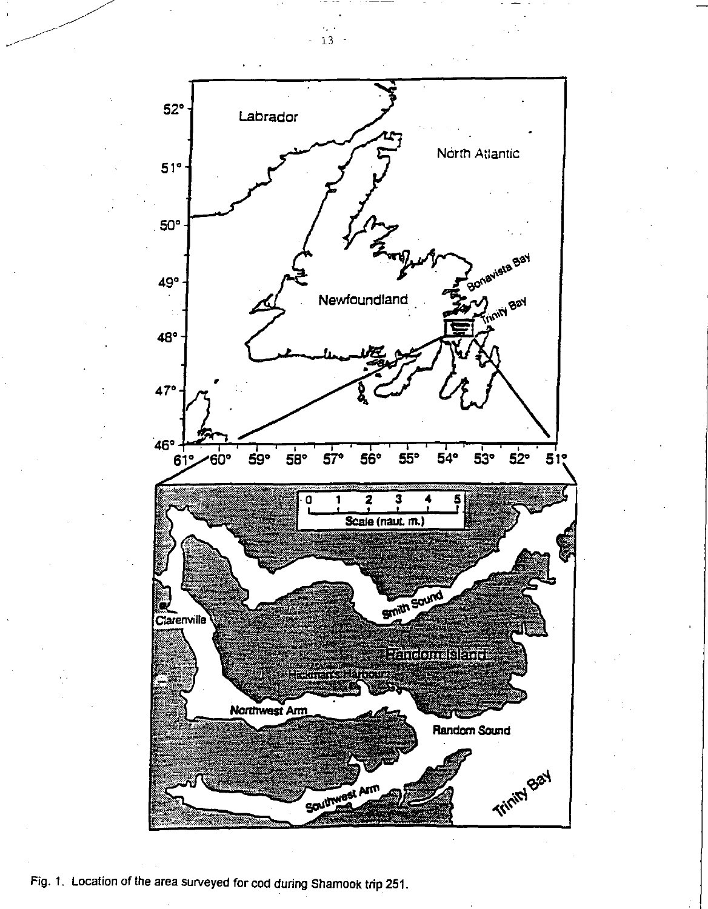

Fig. 1. Location of the area surveyed for cod during Shamook trip 251.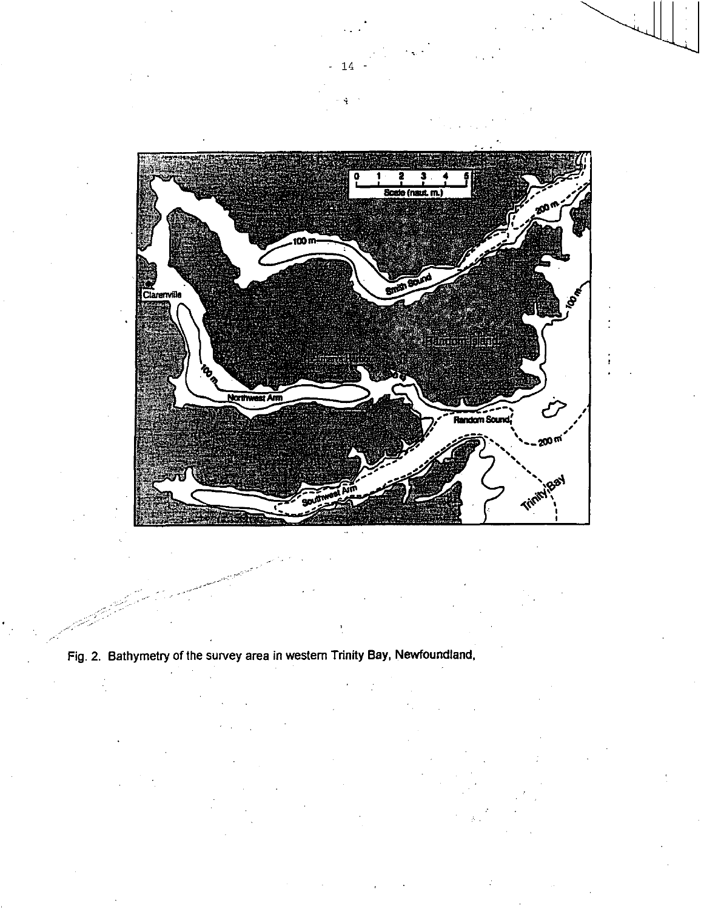

 $-14$   $-$ 

Fig. 2. Bathymetry of the survey area in western Trinity Bay, Newfoundland,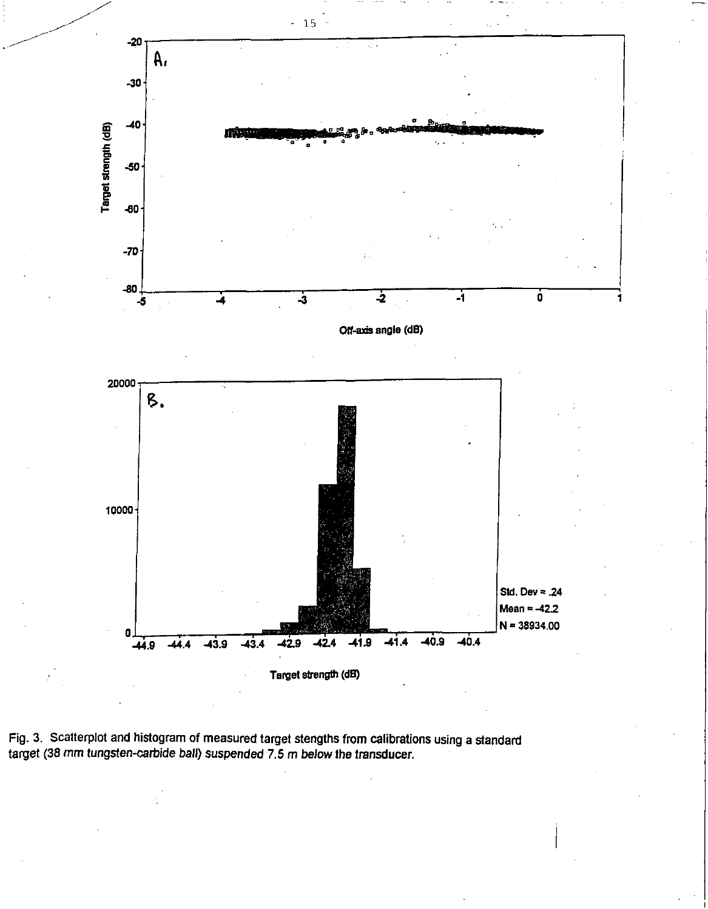

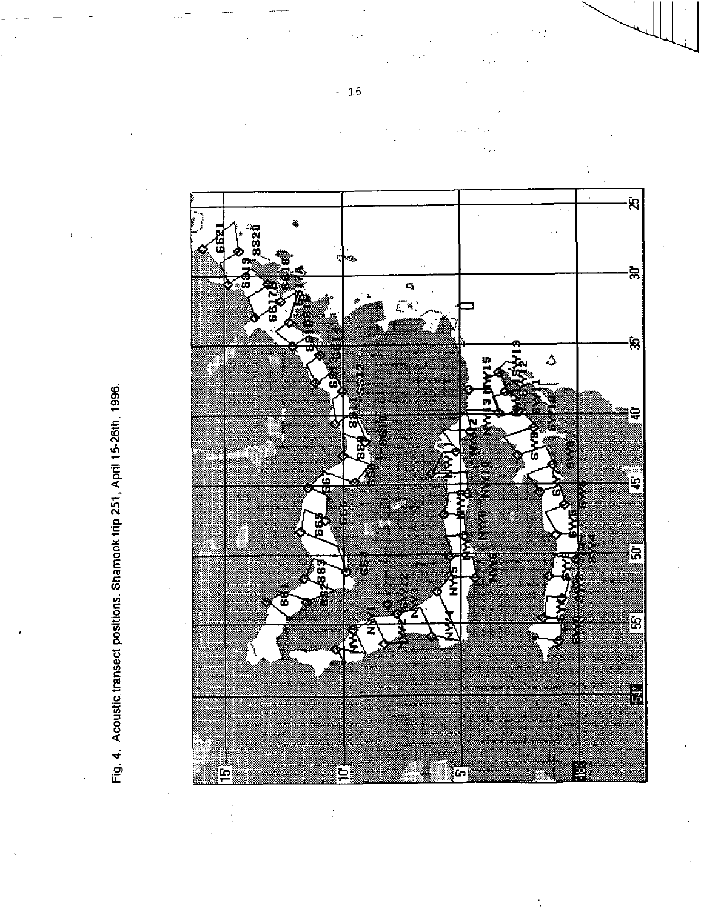

Fig. 4. Acoustic transect positions. Shamook trip 251, April 15-26th, 1996. Fig. 4. Acoustic transect positions. Shamook trip 251, April 15-26th, 1996.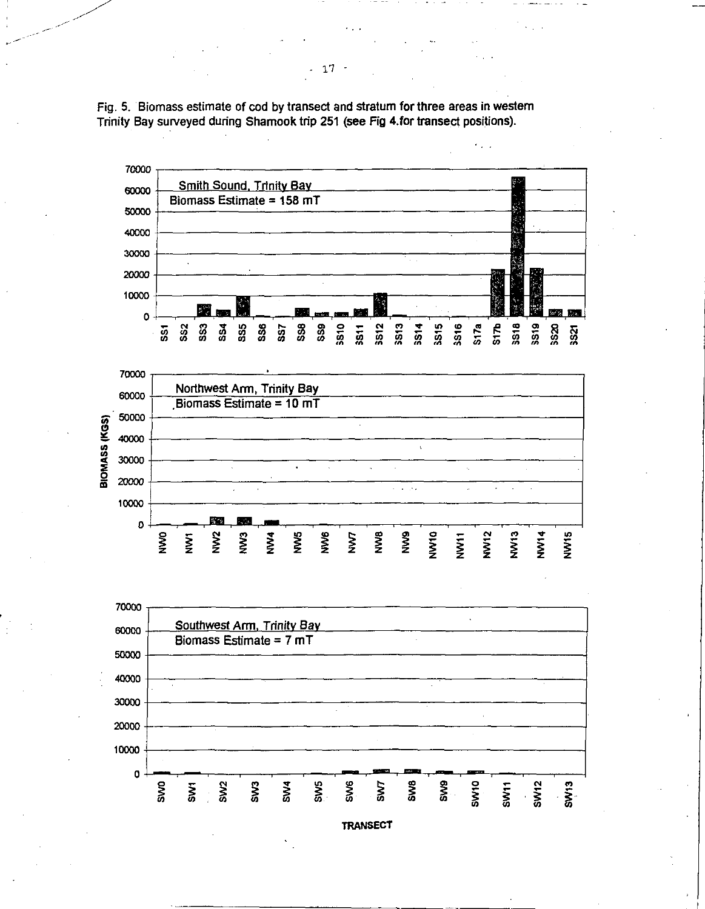Fig. 5. Biomass estimate of cod by transect and stratum for three areas in western Trinity Bay surveyed during Shamook trip 251 (see Fig 4.for transect positions).



**TRANSECT**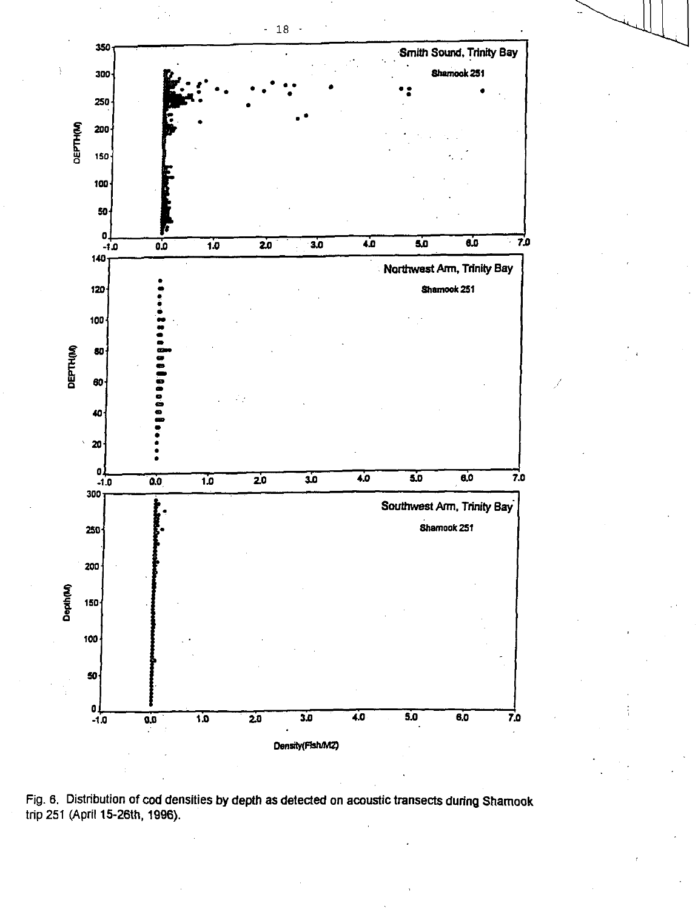

Fig. 6. Distribution of cod densities by depth as detected on acoustic transects during Shamook trip 251 (April 15-26th, 1996).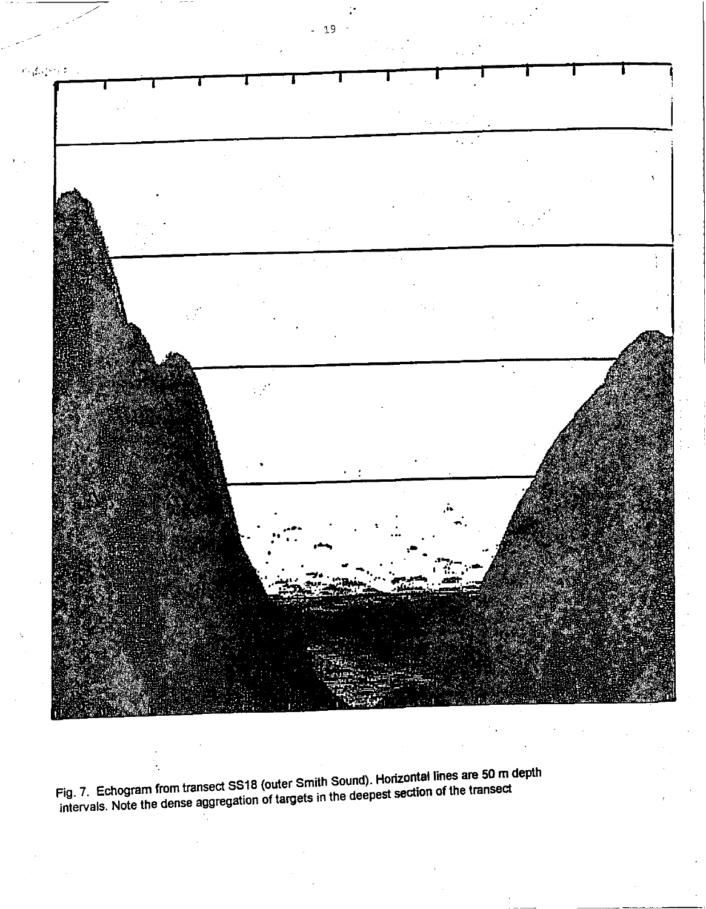

Fig. 7. Echogram from transect SS18 (outer Smith Sound). **Horizontal** lines are 50 m depth intervals.  $\frac{1}{2}$  intervals and the dense aggregation of targets in the deepest section of the transiection

- 19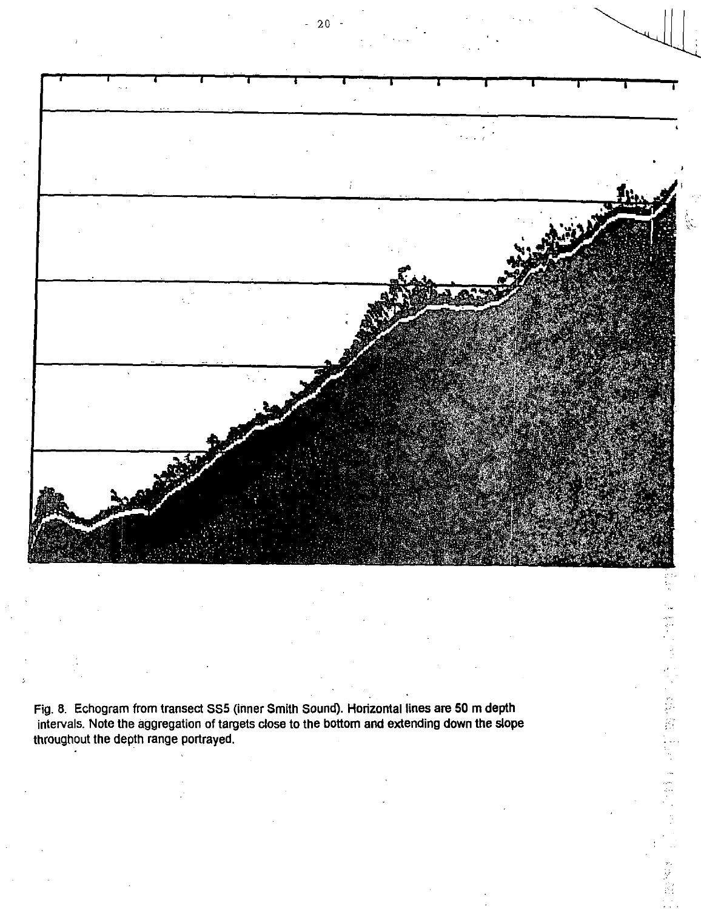![](_page_19_Picture_0.jpeg)

Fig. 8. Echogram from transect SS5 (inner Smith Sound). Horizontal lines are 50 m depth intervals. Note the aggregation of targets close to the bottom and extending down the slope throughout the depth range portrayed.

 $20$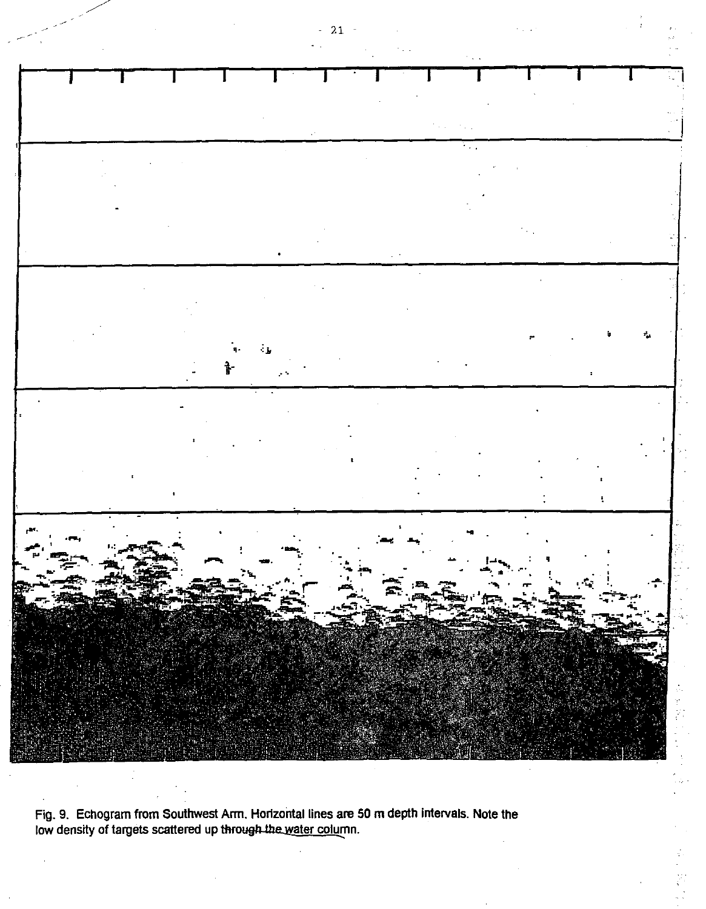![](_page_20_Picture_0.jpeg)

Fig. 9. Echogram from Southwest Arm. Horizontal lines are 50 m depth intervals. Note the low density of targets scattered up through the water column.